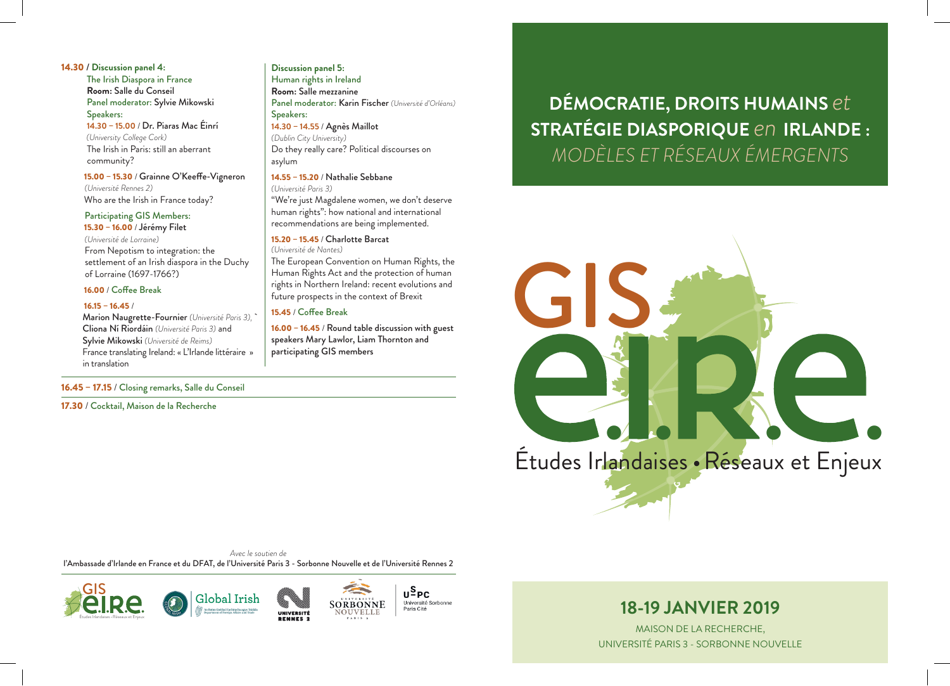14.30 / **Discussion panel 4:** The Irish Diaspora in France **Room:** Salle du Conseil Panel moderator: Sylvie Mikowski Speakers: **14.30** – **15.00** / Dr. Piaras Mac Éinrí

 *(University College Cork)* The Irish in Paris: still an aberrant community?

 15.00 – 15.30 / Grainne O'Keeffe-Vigneron *(Université Rennes 2)* Who are the Irish in France today?

 Participating GIS Members: 15.30 – 16.00 / Jérémy Filet *(Université de Lorraine)* From Nepotism to integration: the settlement of an Irish diaspora in the Duchy of Lorraine (1697-1766?)

#### 16.00 / Coffee Break

#### $16.15 - 16.45/$

 Marion Naugrette-Fournier *(Université Paris 3),* ` Cliona Ní Riordáin *(Université Paris 3)* and Sylvie Mikowski *(Université de Reims)* France translating Ireland: « L'Irlande littéraire » in translation

#### 16.45 – 17.15 / Closing remarks, Salle du Conseil

17.30 / Cocktail, Maison de la Recherche

#### **Discussion panel 5:**

Human rights in Ireland **Room:** Salle mezzanine Panel moderator: Karin Fischer *(Université d'Orléans)* Speakers: **14.30** – **14.55** / Agnès Maillot

*(Dublin City University)* Do they really care? Political discourses on asylum

#### 14.55 – 15.20 / Nathalie Sebbane

*(Université Paris 3)*

"We're just Magdalene women, we don't deserve human rights": how national and international recommendations are being implemented.

#### 15.20 – 15.45 / Charlotte Barcat

*(Université de Nantes)* The European Convention on Human Rights, the Human Rights Act and the protection of human rights in Northern Ireland: recent evolutions and future prospects in the context of Brexit

#### 15.45 / Coffee Break

16.00 – 16.45 / Round table discussion with guest speakers Mary Lawlor, Liam Thornton and participating GIS members

# **DÉMOCRATIE, DROITS HUMAINS** *et* **STRATÉGIE DIASPORIQUE** *en* **IRLANDE :**  *MODÈLES ET RÉSEAUX ÉMERGENTS*



*Avec le soutien de* l'Ambassade d'Irlande en France et du DFAT, de l'Université Paris 3 - Sorbonne Nouvelle et de l'Université Rennes 2





# **18-19 JANVIER 2019**

MAISON DE LA RECHERCHE, UNIVERSITÉ PARIS 3 - SORBONNE NOUVELLE